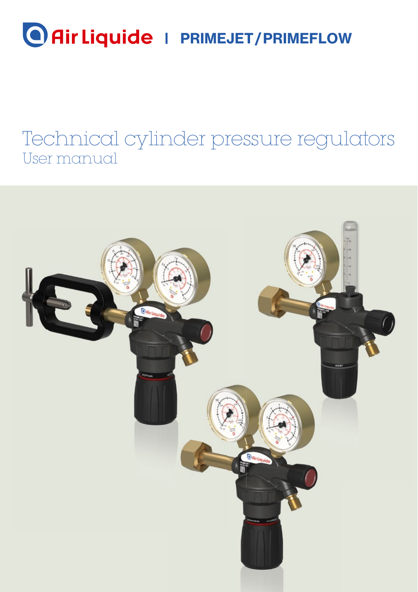# **Air Liquide** | PRIMEJET/PRIMEFLOW

# Technical cylinder pressure regulators User manual

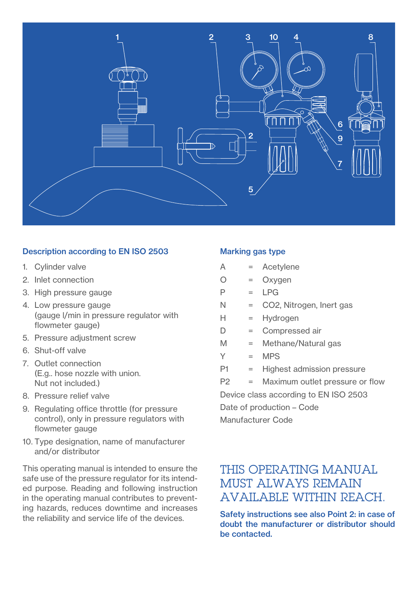

#### Description according to EN ISO 2503

- 1. Cylinder valve
- 2. Inlet connection
- 3. High pressure gauge
- 4. Low pressure gauge (gauge l/min in pressure regulator with flowmeter gauge)
- 5. Pressure adjustment screw
- 6. Shut-off valve
- 7. Outlet connection (E.g.. hose nozzle with union. Nut not included.)
- 8. Pressure relief valve
- 9. Regulating office throttle (for pressure control), only in pressure regulators with flowmeter gauge
- 10. Type designation, name of manufacturer and/or distributor

This operating manual is intended to ensure the safe use of the pressure regulator for its intended purpose. Reading and following instruction in the operating manual contributes to preventing hazards, reduces downtime and increases the reliability and service life of the devices.

#### Marking gas type

- A = Acetylene
- $O = Ox$ vgen
- $P = IPG$
- N = CO2, Nitrogen, Inert gas
- H = Hydrogen
- D = Compressed air
- M = Methane/Natural gas
- $Y = MPS$
- P1 = Highest admission pressure
- P2 = Maximum outlet pressure or flow Device class according to EN ISO 2503 Date of production – Code Manufacturer Code

#### THIS OPERATING MANUAL MUST ALWAYS REMAIN AVAILABLE WITHIN REACH.

Safety instructions see also Point 2: in case of doubt the manufacturer or distributor should be contacted.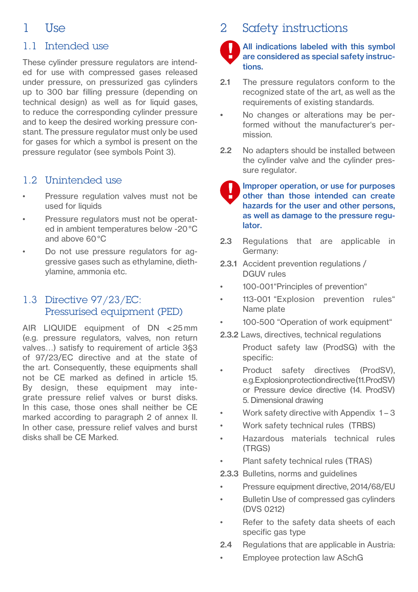## $1$   $\frac{1}{2}$

#### 1.1 Intended use

These cylinder pressure regulators are intended for use with compressed gases released under pressure, on pressurized gas cylinders up to 300 bar filling pressure (depending on technical design) as well as for liquid gases. to reduce the corresponding cylinder pressure and to keep the desired working pressure constant. The pressure regulator must only be used for gases for which a symbol is present on the pressure regulator (see symbols Point 3).

#### 1.2 Unintended use

- Pressure regulation valves must not be used for liquids
- Pressure regulators must not be operated in ambient temperatures below -20 °C and above 60 °C
- Do not use pressure regulators for aggressive gases such as ethylamine, diethylamine, ammonia etc.

#### 1.3 Directive 97/23/EC: Pressurised equipment (PED)

AIR LIQUIDE equipment of DN < 25 mm (e.g. pressure regulators, valves, non return valves…) satisfy to requirement of article 3§3 of 97/23/EC directive and at the state of the art. Consequently, these equipments shall not be CE marked as defined in article 15. By design, these equipment may integrate pressure relief valves or burst disks. In this case, those ones shall neither be CE marked according to paragraph 2 of annex II. In other case, pressure relief valves and burst disks shall be CE Marked.

# 2 Safety instructions

#### All indications labeled with this symbol are considered as special safety instructions.

- 2.1 The pressure regulators conform to the recognized state of the art, as well as the requirements of existing standards.
- No changes or alterations may be performed without the manufacturer's permission.
- 2.2 No adapters should be installed between the cylinder valve and the cylinder pressure regulator.

Improper operation, or use for purposes other than those intended can create hazards for the user and other persons, as well as damage to the pressure regulator.

- 2.3 Regulations that are applicable in Germany:
- 2.3.1 Accident prevention regulations / DGUV rules
- 100-001"Principles of prevention"
- 113-001 "Explosion prevention rules" Name plate
- 100-500 "Operation of work equipment"
- 2.3.2 Laws, directives, technical regulations
	- Product safety law (ProdSG) with the specific:
- Product safety directives (ProdSV), e.g. Explosion protection directive (11. ProdSV) or Pressure device directive (14. ProdSV) 5. Dimensional drawing
- Work safety directive with Appendix  $1 3$
- Work safety technical rules (TRBS)
- Hazardous materials technical rules (TRGS)
- Plant safety technical rules (TRAS)
- 2.3.3 Bulletins, norms and quidelines
- Pressure equipment directive, 2014/68/EU
- Bulletin Use of compressed gas cylinders (DVS 0212)
- Refer to the safety data sheets of each specific gas type
- 2.4 Regulations that are applicable in Austria:
- Employee protection law ASchG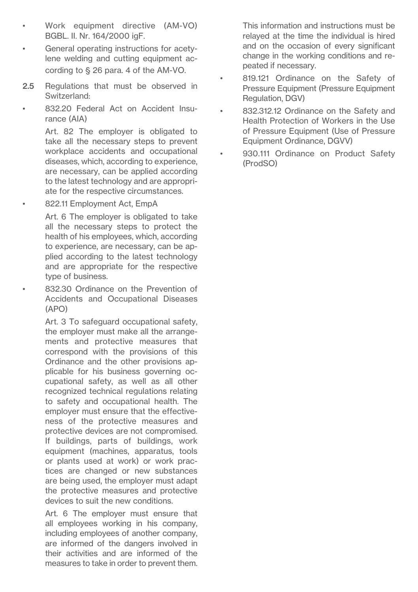- Work equipment directive (AM-VO) BGBL. II. Nr. 164/2000 igF.
- General operating instructions for acetylene welding and cutting equipment according to § 26 para. 4 of the AM-VO.
- 2.5 Regulations that must be observed in Switzerland:
- 832.20 Federal Act on Accident Insurance (AIA)

 Art. 82 The employer is obligated to take all the necessary steps to prevent workplace accidents and occupational diseases, which, according to experience, are necessary, can be applied according to the latest technology and are appropriate for the respective circumstances.

822.11 Employment Act, EmpA

 Art. 6 The employer is obligated to take all the necessary steps to protect the health of his employees, which, according to experience, are necessary, can be applied according to the latest technology and are appropriate for the respective type of business.

• 832.30 Ordinance on the Prevention of Accidents and Occupational Diseases (APO)

 Art. 3 To safeguard occupational safety, the employer must make all the arrangements and protective measures that correspond with the provisions of this Ordinance and the other provisions applicable for his business governing occupational safety, as well as all other recognized technical regulations relating to safety and occupational health. The employer must ensure that the effectiveness of the protective measures and protective devices are not compromised. If buildings, parts of buildings, work equipment (machines, apparatus, tools or plants used at work) or work practices are changed or new substances are being used, the employer must adapt the protective measures and protective devices to suit the new conditions.

 Art. 6 The employer must ensure that all employees working in his company, including employees of another company, are informed of the dangers involved in their activities and are informed of the measures to take in order to prevent them.

This information and instructions must be relayed at the time the individual is hired and on the occasion of every significant change in the working conditions and repeated if necessary.

- 819.121 Ordinance on the Safety of Pressure Equipment (Pressure Equipment Regulation, DGV)
- 832.312.12 Ordinance on the Safety and Health Protection of Workers in the Use of Pressure Equipment (Use of Pressure Equipment Ordinance, DGVV)
- 930.111 Ordinance on Product Safety (ProdSO)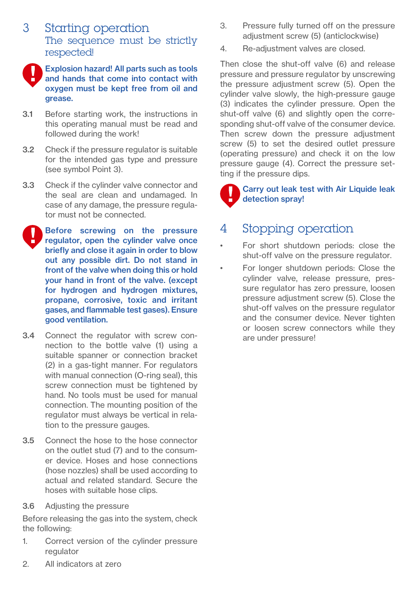#### 3 Starting operation The sequence must be strictly respected!



Explosion hazard! All parts such as tools and hands that come into contact with oxygen must be kept free from oil and grease.

- 3.1 Before starting work, the instructions in this operating manual must be read and followed during the work!
- 3.2 Check if the pressure regulator is suitable for the intended gas type and pressure (see symbol Point 3).
- 3.3 Check if the cylinder valve connector and the seal are clean and undamaged. In case of any damage, the pressure regulator must not be connected.
- Before screwing on the pressure regulator, open the cylinder valve once briefly and close it again in order to blow out any possible dirt. Do not stand in front of the valve when doing this or hold your hand in front of the valve. (except for hydrogen and hydrogen mixtures, propane, corrosive, toxic and irritant gases, and flammable test gases). Ensure good ventilation.
- 3.4 Connect the regulator with screw connection to the bottle valve (1) using a suitable spanner or connection bracket (2) in a gas-tight manner. For regulators with manual connection (O-ring seal), this screw connection must be tightened by hand. No tools must be used for manual connection. The mounting position of the regulator must always be vertical in relation to the pressure gauges.
- 3.5 Connect the hose to the hose connector on the outlet stud (7) and to the consumer device. Hoses and hose connections (hose nozzles) shall be used according to actual and related standard. Secure the hoses with suitable hose clips.
- 3.6 Adjusting the pressure

Before releasing the gas into the system, check the following:

1. Correct version of the cylinder pressure regulator

- 3. Pressure fully turned off on the pressure adjustment screw (5) (anticlockwise)
- 4. Re-adjustment valves are closed.

Then close the shut-off valve (6) and release pressure and pressure regulator by unscrewing the pressure adjustment screw (5). Open the cylinder valve slowly, the high-pressure gauge (3) indicates the cylinder pressure. Open the shut-off valve (6) and slightly open the corresponding shut-off valve of the consumer device. Then screw down the pressure adjustment screw (5) to set the desired outlet pressure (operating pressure) and check it on the low pressure gauge (4). Correct the pressure setting if the pressure dips.

 Carry out leak test with Air Liquide leak detection spray!

### 4 Stopping operation

- For short shutdown periods: close the shut-off valve on the pressure regulator.
- For longer shutdown periods: Close the cylinder valve, release pressure, pressure regulator has zero pressure, loosen pressure adjustment screw (5). Close the shut-off valves on the pressure regulator and the consumer device. Never tighten or loosen screw connectors while they are under pressure!

2. All indicators at zero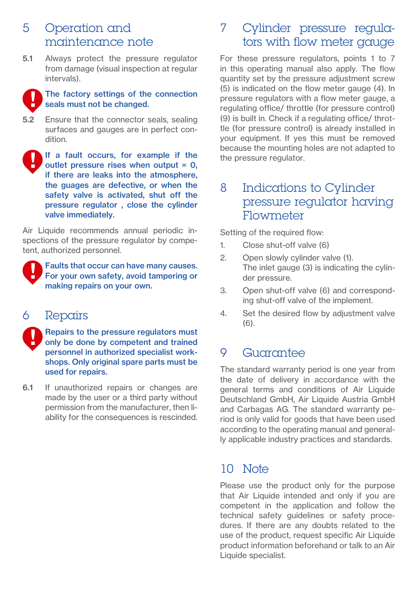#### 5 Operation and maintenance note

5.1 Always protect the pressure regulator from damage (visual inspection at regular intervals).



#### The factory settings of the connection seals must not be changed.

- 5.2 Ensure that the connector seals, sealing surfaces and gauges are in perfect condition.
- If a fault occurs, for example if the outlet pressure rises when output  $= 0$ . if there are leaks into the atmosphere, the guages are defective, or when the safety valve is activated, shut off the pressure regulator , close the cylinder valve immediately.

Air Liquide recommends annual periodic inspections of the pressure regulator by competent, authorized personnel.



 Faults that occur can have many causes. For your own safety, avoid tampering or making repairs on your own.

#### 6 Repairs

 Repairs to the pressure regulators must only be done by competent and trained personnel in authorized specialist workshops. Only original spare parts must be used for repairs.

6.1 If unauthorized repairs or changes are made by the user or a third party without permission from the manufacturer, then liability for the consequences is rescinded.

#### 7 Cylinder pressure regulators with flow meter gauge

For these pressure regulators, points 1 to 7 in this operating manual also apply. The flow quantity set by the pressure adjustment screw (5) is indicated on the flow meter gauge (4). In pressure regulators with a flow meter gauge, a regulating office/ throttle (for pressure control) (9) is built in. Check if a regulating office/ throttle (for pressure control) is already installed in your equipment. If yes this must be removed because the mounting holes are not adapted to the pressure regulator.

#### 8 Indications to Cylinder pressure regulator having Flowmeter

Setting of the required flow:

- 1. Close shut-off valve (6)
- 2. Open slowly cylinder valve (1). The inlet gauge (3) is indicating the cylinder pressure.
- 3. Open shut-off valve (6) and corresponding shut-off valve of the implement.
- 4. Set the desired flow by adjustment valve (6).

#### 9 Guarantee

The standard warranty period is one year from the date of delivery in accordance with the general terms and conditions of Air Liquide Deutschland GmbH, Air Liquide Austria GmbH and Carbagas AG. The standard warranty period is only valid for goods that have been used according to the operating manual and generally applicable industry practices and standards.

#### $10$  Note

Please use the product only for the purpose that Air Liquide intended and only if you are competent in the application and follow the technical safety guidelines or safety procedures. If there are any doubts related to the use of the product, request specific Air Liquide product information beforehand or talk to an Air Liquide specialist.